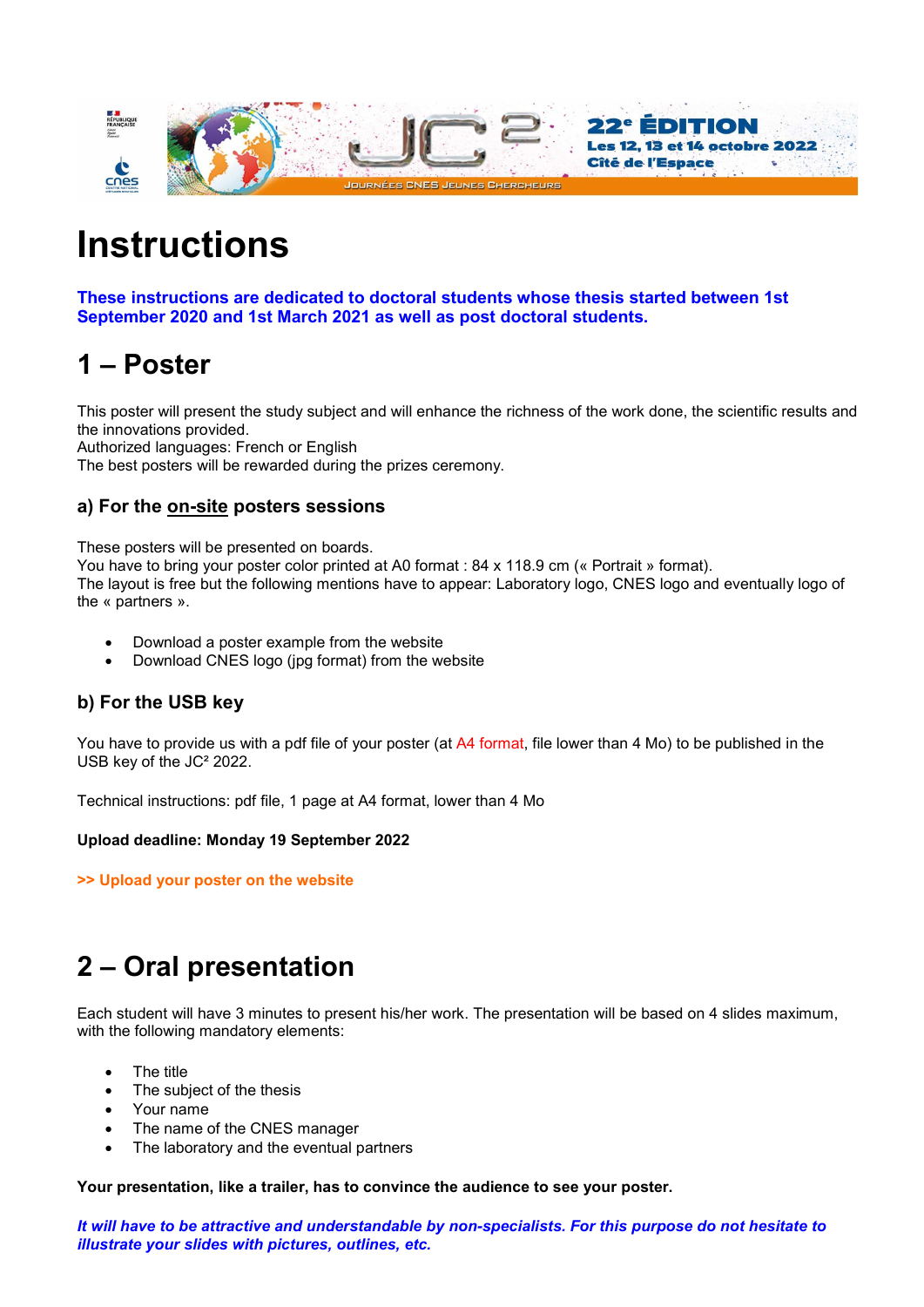

# **Instructions**

These instructions are dedicated to doctoral students whose thesis started between 1st September 2020 and 1st March 2021 as well as post doctoral students.

## 1 – Poster

This poster will present the study subject and will enhance the richness of the work done, the scientific results and the innovations provided.

Authorized languages: French or English

The best posters will be rewarded during the prizes ceremony.

### a) For the on-site posters sessions

These posters will be presented on boards.

You have to bring your poster color printed at A0 format : 84 x 118.9 cm (« Portrait » format). The layout is free but the following mentions have to appear: Laboratory logo, CNES logo and eventually logo of the « partners ».

- Download a poster example from the website
- Download CNES logo (jpg format) from the website

### b) For the USB key

You have to provide us with a pdf file of your poster (at A4 format, file lower than 4 Mo) to be published in the USB key of the JC² 2022.

Technical instructions: pdf file, 1 page at A4 format, lower than 4 Mo

#### Upload deadline: Monday 19 September 2022

>> Upload your poster on the website

### 2 – Oral presentation

Each student will have 3 minutes to present his/her work. The presentation will be based on 4 slides maximum, with the following mandatory elements:

- The title
- The subject of the thesis
- Your name
- The name of the CNES manager
- The laboratory and the eventual partners

Your presentation, like a trailer, has to convince the audience to see your poster.

It will have to be attractive and understandable by non-specialists. For this purpose do not hesitate to illustrate your slides with pictures, outlines, etc.